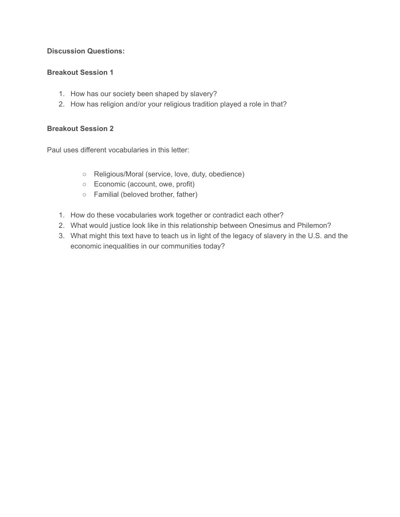### **Discussion Questions:**

# **Breakout Session 1**

- 1. How has our society been shaped by slavery?
- 2. How has religion and/or your religious tradition played a role in that?

## **Breakout Session 2**

Paul uses different vocabularies in this letter:

- Religious/Moral (service, love, duty, obedience)
- Economic (account, owe, profit)
- Familial (beloved brother, father)
- 1. How do these vocabularies work together or contradict each other?
- 2. What would justice look like in this relationship between Onesimus and Philemon?
- 3. What might this text have to teach us in light of the legacy of slavery in the U.S. and the economic inequalities in our communities today?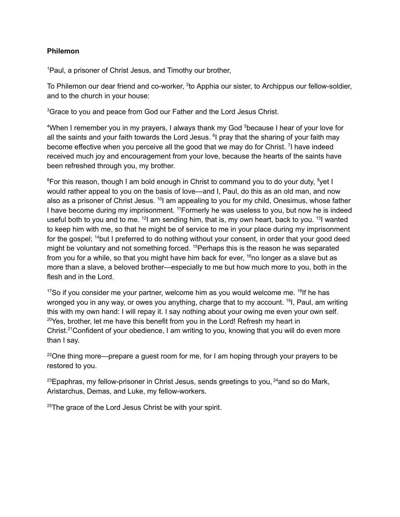#### **Philemon**

<sup>1</sup>Paul, a prisoner of Christ Jesus, and Timothy our brother,

To Philemon our dear friend and co-worker, <sup>2</sup>to Apphia our sister, to Archippus our fellow-soldier, and to the church in your house:

<sup>3</sup>Grace to you and peace from God our Father and the Lord Jesus Christ.

<sup>4</sup>When I remember you in my prayers, I always thank my God <sup>5</sup>because I hear of your love for all the saints and your faith towards the Lord Jesus. <sup>6</sup>I pray that the sharing of your faith may become effective when you perceive all the good that we may do for Christ. <sup>7</sup>I have indeed received much joy and encouragement from your love, because the hearts of the saints have been refreshed through you, my brother.

<sup>8</sup>For this reason, though I am bold enough in Christ to command you to do your duty, <sup>9</sup>yet I would rather appeal to you on the basis of love—and I, Paul, do this as an old man, and now also as a prisoner of Christ Jesus. <sup>10</sup>l am appealing to you for my child, Onesimus, whose father I have become during my imprisonment. <sup>11</sup> Formerly he was useless to you, but now he is indeed useful both to you and to me.  $12$  am sending him, that is, my own heart, back to you.  $13$  wanted to keep him with me, so that he might be of service to me in your place during my imprisonment for the gospel; <sup>14</sup>but I preferred to do nothing without your consent, in order that your good deed might be voluntary and not something forced. <sup>15</sup> Perhaps this is the reason he was separated from you for a while, so that you might have him back for ever, <sup>16</sup>no longer as a slave but as more than a slave, a beloved brother—especially to me but how much more to you, both in the flesh and in the Lord.

 $17$ So if you consider me your partner, welcome him as you would welcome me.  $18$ If he has wronged you in any way, or owes you anything, charge that to my account. <sup>19</sup>l, Paul, am writing this with my own hand: I will repay it. I say nothing about your owing me even your own self.  $20Y$ es, brother, let me have this benefit from you in the Lord! Refresh my heart in Christ.<sup>21</sup>Confident of your obedience, I am writing to you, knowing that you will do even more than I say.

 $22$ One thing more—prepare a guest room for me, for I am hoping through your prayers to be restored to you.

 $^{23}$ Epaphras, my fellow-prisoner in Christ Jesus, sends greetings to you,  $^{24}$ and so do Mark, Aristarchus, Demas, and Luke, my fellow-workers.

 $25$ The grace of the Lord Jesus Christ be with your spirit.